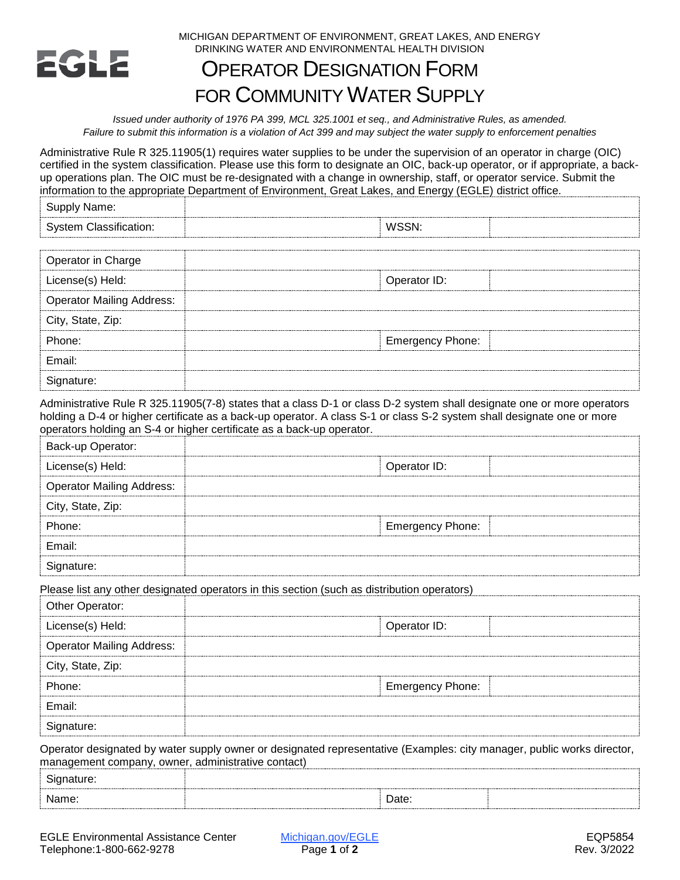

MICHIGAN DEPARTMENT OF ENVIRONMENT, GREAT LAKES, AND ENERGY DRINKING WATER AND ENVIRONMENTAL HEALTH DIVISION

## OPERATOR DESIGNATION FORM FOR COMMUNITY WATER SUPPLY

*Issued under authority of 1976 PA 399, MCL 325.1001 et seq., and Administrative Rules, as amended. Failure to submit this information is a violation of Act 399 and may subject the water supply to enforcement penalties* 

 Administrative Rule R 325.11905(1) requires water supplies to be under the supervision of an operator in charge (OIC) certified in the system classification. Please use this form to designate an OIC, back-up operator, or if appropriate, a backup operations plan. The OIC must be re-designated with a change in ownership, staff, or operator service. Submit the information to the appropriate Department of Environment, Great Lakes, and Energy (EGLE) district office.

| Name.<br> |  |  |
|-----------|--|--|
|           |  |  |

| Operator in Charge               |                         |
|----------------------------------|-------------------------|
| License(s) Held:                 | Operator ID:            |
| <b>Operator Mailing Address:</b> |                         |
| City, State, Zip:                |                         |
| Phone:                           | <b>Emergency Phone:</b> |
| Fmail:                           |                         |
| ∍ature: ⊦                        |                         |

Administrative Rule R 325.11905(7-8) states that a class D-1 or class D-2 system shall designate one or more operators holding a D-4 or higher certificate as a back-up operator. A class S-1 or class S-2 system shall designate one or more operators holding an S-4 or higher certificate as a back-up operator.

| Back-up Operator:                |                         |
|----------------------------------|-------------------------|
| License(s) Held:                 | Operator ID:            |
| <b>Operator Mailing Address:</b> |                         |
| City, State, Zip:                |                         |
| Phone:                           | <b>Emergency Phone:</b> |
| Email:                           |                         |
|                                  |                         |

Please list any other designated operators in this section (such as distribution operators)

| Other Operator:                  |                         |
|----------------------------------|-------------------------|
| License(s) Held:                 | Operator ID:            |
| <b>Operator Mailing Address:</b> |                         |
| City, State, Zip:                |                         |
| Phone:                           | <b>Emergency Phone:</b> |
| Email:                           |                         |
| nature:                          |                         |

Operator designated by water supply owner or designated representative (Examples: city manager, public works director, management company, owner, administrative contact)

| - |                 |  |
|---|-----------------|--|
|   | )ate<br>- - - - |  |